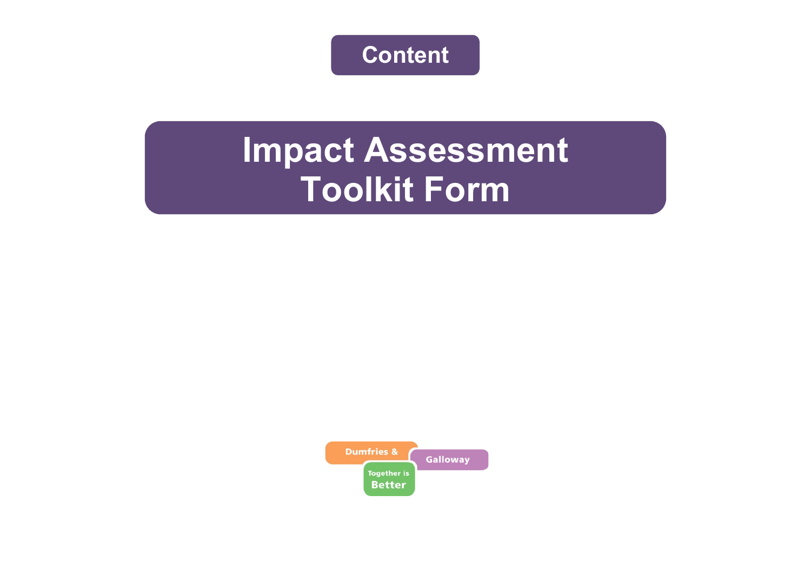**Content**

# **Impact Assessment Toolkit Form**

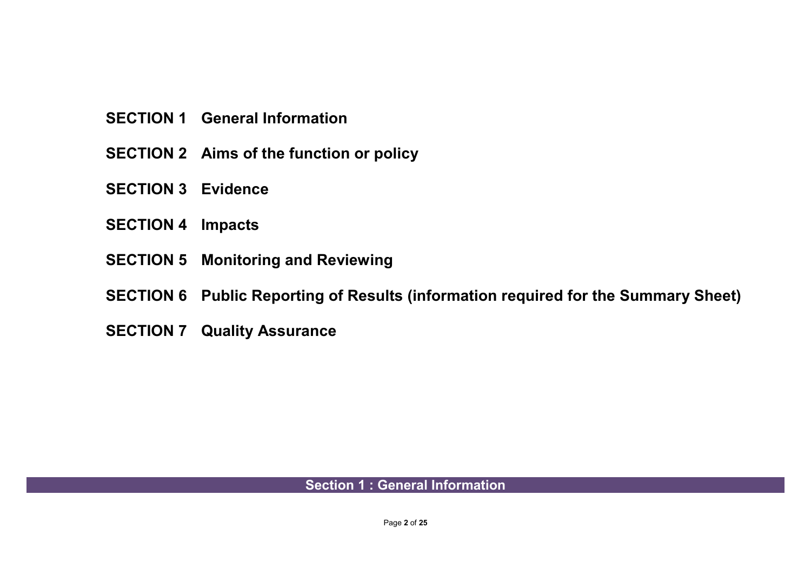- **SECTION 1 General Information**
- **SECTION 2 Aims of the function or policy**
- **SECTION 3 Evidence**
- **SECTION 4 Impacts**
- **SECTION 5 Monitoring and Reviewing**
- **SECTION 6 Public Reporting of Results (information required for the Summary Sheet)**
- **SECTION 7 Quality Assurance**

### **Section 1 : General Information**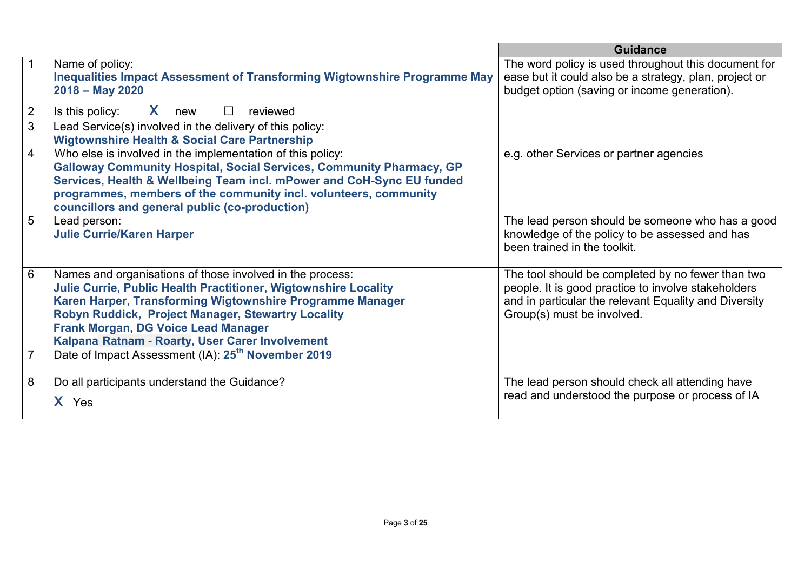|                |                                                                             | <b>Guidance</b>                                        |
|----------------|-----------------------------------------------------------------------------|--------------------------------------------------------|
|                | Name of policy:                                                             | The word policy is used throughout this document for   |
|                | Inequalities Impact Assessment of Transforming Wigtownshire Programme May   | ease but it could also be a strategy, plan, project or |
|                | 2018 - May 2020                                                             | budget option (saving or income generation).           |
| $\overline{2}$ | X.<br>$\Box$<br>Is this policy:<br>reviewed<br>new                          |                                                        |
| 3              | Lead Service(s) involved in the delivery of this policy:                    |                                                        |
|                | <b>Wigtownshire Health &amp; Social Care Partnership</b>                    |                                                        |
| 4              | Who else is involved in the implementation of this policy:                  | e.g. other Services or partner agencies                |
|                | <b>Galloway Community Hospital, Social Services, Community Pharmacy, GP</b> |                                                        |
|                | Services, Health & Wellbeing Team incl. mPower and CoH-Sync EU funded       |                                                        |
|                | programmes, members of the community incl. volunteers, community            |                                                        |
|                | councillors and general public (co-production)                              |                                                        |
| 5              | Lead person:                                                                | The lead person should be someone who has a good       |
|                | <b>Julie Currie/Karen Harper</b>                                            | knowledge of the policy to be assessed and has         |
|                |                                                                             | been trained in the toolkit.                           |
|                |                                                                             |                                                        |
| 6              | Names and organisations of those involved in the process:                   | The tool should be completed by no fewer than two      |
|                | <b>Julie Currie, Public Health Practitioner, Wigtownshire Locality</b>      | people. It is good practice to involve stakeholders    |
|                | Karen Harper, Transforming Wigtownshire Programme Manager                   | and in particular the relevant Equality and Diversity  |
|                | Robyn Ruddick, Project Manager, Stewartry Locality                          | Group(s) must be involved.                             |
|                | Frank Morgan, DG Voice Lead Manager                                         |                                                        |
|                | Kalpana Ratnam - Roarty, User Carer Involvement                             |                                                        |
|                | Date of Impact Assessment (IA): 25 <sup>th</sup> November 2019              |                                                        |
|                |                                                                             |                                                        |
| 8              | Do all participants understand the Guidance?                                | The lead person should check all attending have        |
|                | X Yes                                                                       | read and understood the purpose or process of IA       |
|                |                                                                             |                                                        |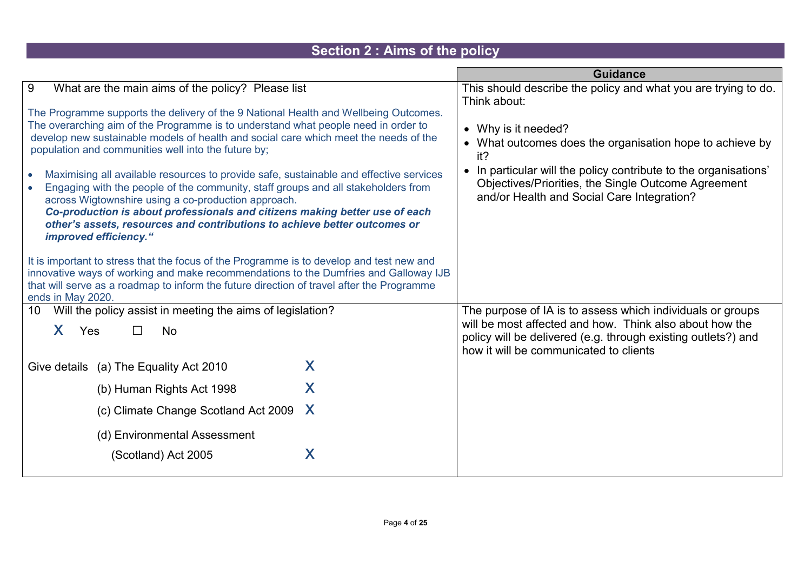#### **Section 2 : Aims of the policy Guidance** 9 What are the main aims of the policy? Please list The Programme supports the delivery of the 9 National Health and Wellbeing Outcomes. The overarching aim of the Programme is to understand what people need in order to develop new sustainable models of health and social care which meet the needs of the population and communities well into the future by; • Maximising all available resources to provide safe, sustainable and effective services • Engaging with the people of the community, staff groups and all stakeholders from across Wigtownshire using a co-production approach. *Co-production is about professionals and citizens making better use of each other's assets, resources and contributions to achieve better outcomes or improved efficiency."* It is important to stress that the focus of the Programme is to develop and test new and innovative ways of working and make recommendations to the Dumfries and Galloway IJB that will serve as a roadmap to inform the future direction of travel after the Programme ends in May 2020. This should describe the policy and what you are trying to do. Think about: • Why is it needed? • What outcomes does the organisation hope to achieve by it? • In particular will the policy contribute to the organisations' Objectives/Priorities, the Single Outcome Agreement and/or Health and Social Care Integration? 10 Will the policy assist in meeting the aims of legislation?  $X$  Yes  $\Box$  No Give details (a) The Equality Act 2010  $\chi$ (b) Human Rights Act 1998  $\overline{X}$ (c) Climate Change Scotland Act 2009  $\chi$ (d) Environmental Assessment  $(Xcotland)$  Act 2005  $X$ The purpose of IA is to assess which individuals or groups will be most affected and how. Think also about how the policy will be delivered (e.g. through existing outlets?) and how it will be communicated to clients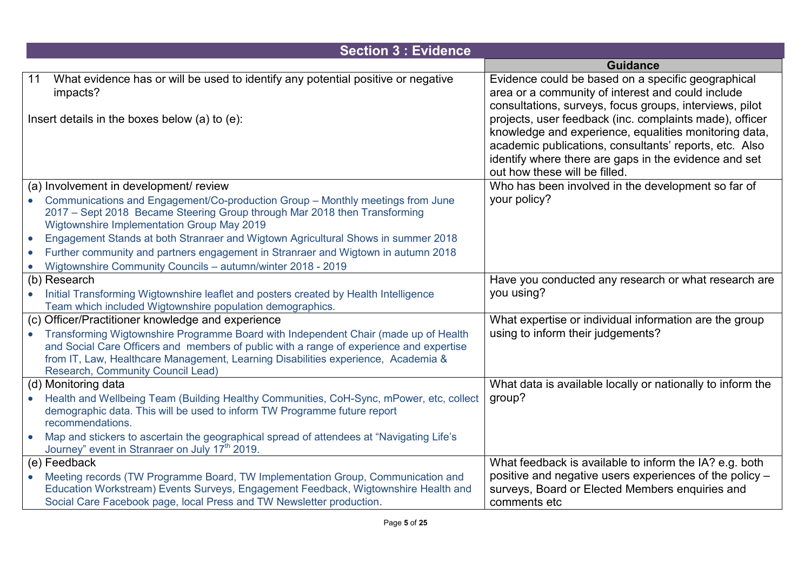|           | <b>Section 3: Evidence</b>                                                                                                                                                                                                                                                                               |                                                                                                                                                                                                                                                                      |
|-----------|----------------------------------------------------------------------------------------------------------------------------------------------------------------------------------------------------------------------------------------------------------------------------------------------------------|----------------------------------------------------------------------------------------------------------------------------------------------------------------------------------------------------------------------------------------------------------------------|
|           |                                                                                                                                                                                                                                                                                                          | <b>Guidance</b>                                                                                                                                                                                                                                                      |
| 11        | What evidence has or will be used to identify any potential positive or negative<br>impacts?                                                                                                                                                                                                             | Evidence could be based on a specific geographical<br>area or a community of interest and could include<br>consultations, surveys, focus groups, interviews, pilot                                                                                                   |
|           | Insert details in the boxes below (a) to (e):                                                                                                                                                                                                                                                            | projects, user feedback (inc. complaints made), officer<br>knowledge and experience, equalities monitoring data,<br>academic publications, consultants' reports, etc. Also<br>identify where there are gaps in the evidence and set<br>out how these will be filled. |
|           | (a) Involvement in development/ review                                                                                                                                                                                                                                                                   | Who has been involved in the development so far of                                                                                                                                                                                                                   |
|           | Communications and Engagement/Co-production Group - Monthly meetings from June<br>2017 - Sept 2018 Became Steering Group through Mar 2018 then Transforming<br>Wigtownshire Implementation Group May 2019                                                                                                | your policy?                                                                                                                                                                                                                                                         |
| $\bullet$ | Engagement Stands at both Stranraer and Wigtown Agricultural Shows in summer 2018                                                                                                                                                                                                                        |                                                                                                                                                                                                                                                                      |
| $\bullet$ | Further community and partners engagement in Stranraer and Wigtown in autumn 2018                                                                                                                                                                                                                        |                                                                                                                                                                                                                                                                      |
|           | Wigtownshire Community Councils - autumn/winter 2018 - 2019                                                                                                                                                                                                                                              |                                                                                                                                                                                                                                                                      |
|           | (b) Research                                                                                                                                                                                                                                                                                             | Have you conducted any research or what research are                                                                                                                                                                                                                 |
|           | Initial Transforming Wigtownshire leaflet and posters created by Health Intelligence<br>Team which included Wigtownshire population demographics.                                                                                                                                                        | you using?                                                                                                                                                                                                                                                           |
|           | (c) Officer/Practitioner knowledge and experience                                                                                                                                                                                                                                                        | What expertise or individual information are the group                                                                                                                                                                                                               |
|           | Transforming Wigtownshire Programme Board with Independent Chair (made up of Health<br>and Social Care Officers and members of public with a range of experience and expertise<br>from IT, Law, Healthcare Management, Learning Disabilities experience, Academia &<br>Research, Community Council Lead) | using to inform their judgements?                                                                                                                                                                                                                                    |
|           | (d) Monitoring data                                                                                                                                                                                                                                                                                      | What data is available locally or nationally to inform the                                                                                                                                                                                                           |
|           | Health and Wellbeing Team (Building Healthy Communities, CoH-Sync, mPower, etc, collect<br>demographic data. This will be used to inform TW Programme future report<br>recommendations.                                                                                                                  | group?                                                                                                                                                                                                                                                               |
|           | Map and stickers to ascertain the geographical spread of attendees at "Navigating Life's<br>Journey" event in Stranraer on July 17 <sup>th</sup> 2019.                                                                                                                                                   |                                                                                                                                                                                                                                                                      |
|           | (e) Feedback                                                                                                                                                                                                                                                                                             | What feedback is available to inform the IA? e.g. both                                                                                                                                                                                                               |
| $\bullet$ | Meeting records (TW Programme Board, TW Implementation Group, Communication and                                                                                                                                                                                                                          | positive and negative users experiences of the policy -                                                                                                                                                                                                              |
|           | Education Workstream) Events Surveys, Engagement Feedback, Wigtownshire Health and                                                                                                                                                                                                                       | surveys, Board or Elected Members enquiries and                                                                                                                                                                                                                      |
|           | Social Care Facebook page, local Press and TW Newsletter production.                                                                                                                                                                                                                                     | comments etc                                                                                                                                                                                                                                                         |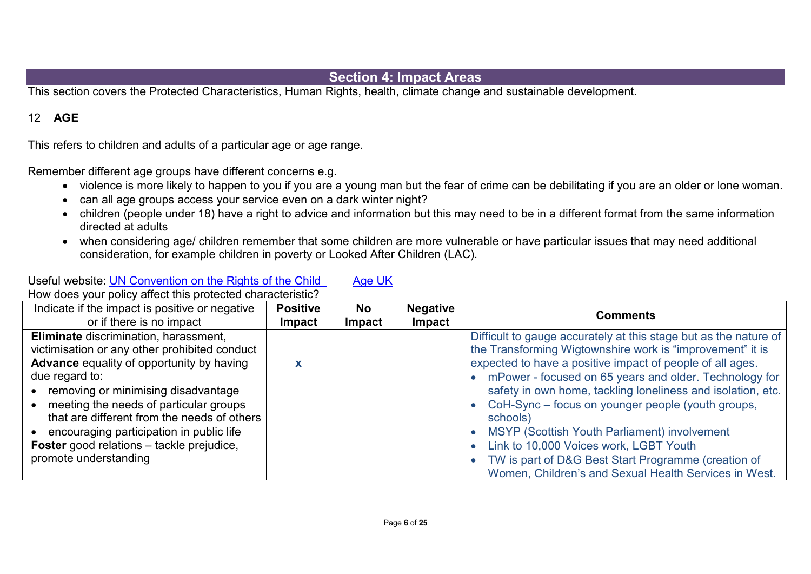#### **Section 4: Impact Areas**

This section covers the Protected Characteristics, Human Rights, health, climate change and sustainable development.

#### 12 **AGE**

This refers to children and adults of a particular age or age range.

Useful website: **UN Convention on the Rights of the Child** [Age UK](http://www.ageuk.org.uk/)

Remember different age groups have different concerns e.g.

- violence is more likely to happen to you if you are a young man but the fear of crime can be debilitating if you are an older or lone woman.
- can all age groups access your service even on a dark winter night?
- children (people under 18) have a right to advice and information but this may need to be in a different format from the same information directed at adults
- when considering age/ children remember that some children are more vulnerable or have particular issues that may need additional consideration, for example children in poverty or Looked After Children (LAC).

| How does your policy affect this protected characteristic?                                                                                                                                |                                  |                      |                                  |                                                                                                                                                                                                                                                        |
|-------------------------------------------------------------------------------------------------------------------------------------------------------------------------------------------|----------------------------------|----------------------|----------------------------------|--------------------------------------------------------------------------------------------------------------------------------------------------------------------------------------------------------------------------------------------------------|
| Indicate if the impact is positive or negative<br>or if there is no impact                                                                                                                | <b>Positive</b><br><b>Impact</b> | No.<br><b>Impact</b> | <b>Negative</b><br><b>Impact</b> | <b>Comments</b>                                                                                                                                                                                                                                        |
| Eliminate discrimination, harassment,<br>victimisation or any other prohibited conduct<br><b>Advance</b> equality of opportunity by having<br>due regard to:                              |                                  |                      |                                  | Difficult to gauge accurately at this stage but as the nature of<br>the Transforming Wigtownshire work is "improvement" it is<br>expected to have a positive impact of people of all ages.<br>• mPower - focused on 65 years and older. Technology for |
| • removing or minimising disadvantage<br>meeting the needs of particular groups<br>$\bullet$<br>that are different from the needs of others<br>• encouraging participation in public life |                                  |                      |                                  | safety in own home, tackling loneliness and isolation, etc.<br>• CoH-Sync – focus on younger people (youth groups,<br>schools)<br><b>MSYP (Scottish Youth Parliament) involvement</b>                                                                  |
| <b>Foster</b> good relations – tackle prejudice,<br>promote understanding                                                                                                                 |                                  |                      |                                  | Link to 10,000 Voices work, LGBT Youth<br>TW is part of D&G Best Start Programme (creation of<br>Women, Children's and Sexual Health Services in West.                                                                                                 |

Page **6** of **25**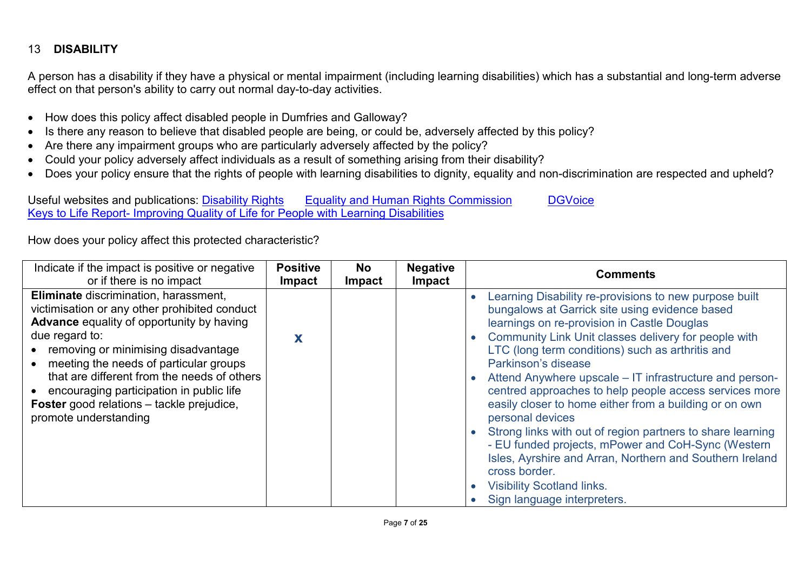#### 13 **DISABILITY**

A person has a disability if they have a physical or mental impairment (including learning disabilities) which has a substantial and long-term adverse effect on that person's ability to carry out normal day-to-day activities.

- How does this policy affect disabled people in Dumfries and Galloway?
- Is there any reason to believe that disabled people are being, or could be, adversely affected by this policy?
- Are there any impairment groups who are particularly adversely affected by the policy?
- Could your policy adversely affect individuals as a result of something arising from their disability?
- Does your policy ensure that the rights of people with learning disabilities to dignity, equality and non-discrimination are respected and upheld?

Useful websites and publications: [Disability Rights](https://www.gov.uk/browse/disabilities/rights) [Equality and Human Rights Commission](http://www.equalityhumanrights.com/) [DGVoice](http://www.dgvoice.co.uk/) Keys to Life Report- [Improving Quality of Life for People with Learning Disabilities](http://www.gov.scot/Resource/0042/00424389.pdf)

| Indicate if the impact is positive or negative                                                                                                                                                                                                                                                                                                                                                                     | <b>Positive</b> | <b>No</b>     | <b>Negative</b> | <b>Comments</b>                                                                                                                                                                                                                                                                                                                                                                                                                                                                                                                                                                                                                                                                                                                                                    |
|--------------------------------------------------------------------------------------------------------------------------------------------------------------------------------------------------------------------------------------------------------------------------------------------------------------------------------------------------------------------------------------------------------------------|-----------------|---------------|-----------------|--------------------------------------------------------------------------------------------------------------------------------------------------------------------------------------------------------------------------------------------------------------------------------------------------------------------------------------------------------------------------------------------------------------------------------------------------------------------------------------------------------------------------------------------------------------------------------------------------------------------------------------------------------------------------------------------------------------------------------------------------------------------|
| or if there is no impact                                                                                                                                                                                                                                                                                                                                                                                           | <b>Impact</b>   | <b>Impact</b> | Impact          |                                                                                                                                                                                                                                                                                                                                                                                                                                                                                                                                                                                                                                                                                                                                                                    |
| Eliminate discrimination, harassment,<br>victimisation or any other prohibited conduct<br><b>Advance</b> equality of opportunity by having<br>due regard to:<br>• removing or minimising disadvantage<br>• meeting the needs of particular groups<br>that are different from the needs of others<br>encouraging participation in public life<br>Foster good relations - tackle prejudice,<br>promote understanding | X               |               |                 | Learning Disability re-provisions to new purpose built<br>bungalows at Garrick site using evidence based<br>learnings on re-provision in Castle Douglas<br>Community Link Unit classes delivery for people with<br>LTC (long term conditions) such as arthritis and<br>Parkinson's disease<br>Attend Anywhere upscale – IT infrastructure and person-<br>centred approaches to help people access services more<br>easily closer to home either from a building or on own<br>personal devices<br>Strong links with out of region partners to share learning<br>- EU funded projects, mPower and CoH-Sync (Western<br>Isles, Ayrshire and Arran, Northern and Southern Ireland<br>cross border.<br><b>Visibility Scotland links.</b><br>Sign language interpreters. |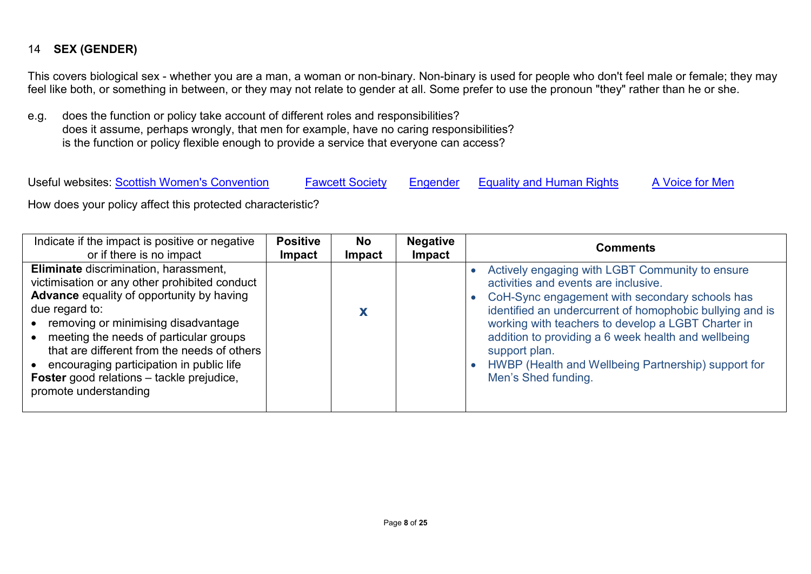#### 14 **SEX (GENDER)**

This covers biological sex - whether you are a man, a woman or non-binary. Non-binary is used for people who don't feel male or female; they may feel like both, or something in between, or they may not relate to gender at all. Some prefer to use the pronoun "they" rather than he or she.

e.g. does the function or policy take account of different roles and responsibilities? does it assume, perhaps wrongly, that men for example, have no caring responsibilities? is the function or policy flexible enough to provide a service that everyone can access?

Useful websites: [Scottish Women's Convention](http://www.scottishwomensconvention.org/) [Fawcett Society](http://www.fawcettsociety.org.uk/) [Engender](http://www.engender.org.uk/) [Equality and Human Rights](http://www.equalityhumanrights.com/) [A Voice for Men](http://www.avoiceformen.com/mens-rights/the-right-kind-of-equality/)

| Indicate if the impact is positive or negative                                                                                                                                                                                                                                                                                                                                                                     | <b>Positive</b> | <b>No</b>     | <b>Negative</b> | <b>Comments</b>                                                                                                                                                                                                                                                                                                                                                                                                   |
|--------------------------------------------------------------------------------------------------------------------------------------------------------------------------------------------------------------------------------------------------------------------------------------------------------------------------------------------------------------------------------------------------------------------|-----------------|---------------|-----------------|-------------------------------------------------------------------------------------------------------------------------------------------------------------------------------------------------------------------------------------------------------------------------------------------------------------------------------------------------------------------------------------------------------------------|
| or if there is no impact                                                                                                                                                                                                                                                                                                                                                                                           | <b>Impact</b>   | <b>Impact</b> | Impact          |                                                                                                                                                                                                                                                                                                                                                                                                                   |
| Eliminate discrimination, harassment,<br>victimisation or any other prohibited conduct<br><b>Advance</b> equality of opportunity by having<br>due regard to:<br>• removing or minimising disadvantage<br>meeting the needs of particular groups<br>that are different from the needs of others<br>• encouraging participation in public life<br>Foster good relations - tackle prejudice,<br>promote understanding |                 |               |                 | Actively engaging with LGBT Community to ensure<br>activities and events are inclusive.<br>CoH-Sync engagement with secondary schools has<br>identified an undercurrent of homophobic bullying and is<br>working with teachers to develop a LGBT Charter in<br>addition to providing a 6 week health and wellbeing<br>support plan.<br>HWBP (Health and Wellbeing Partnership) support for<br>Men's Shed funding. |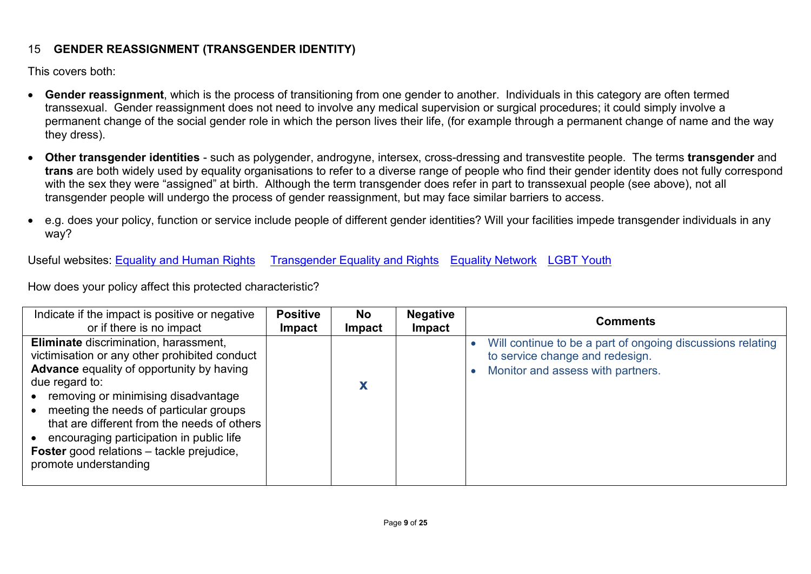#### 15 **GENDER REASSIGNMENT (TRANSGENDER IDENTITY)**

This covers both:

- **Gender reassignment**, which is the process of transitioning from one gender to another. Individuals in this category are often termed transsexual. Gender reassignment does not need to involve any medical supervision or surgical procedures; it could simply involve a permanent change of the social gender role in which the person lives their life, (for example through a permanent change of name and the way they dress).
- **Other transgender identities** such as polygender, androgyne, intersex, cross-dressing and transvestite people. The terms **transgender** and **trans** are both widely used by equality organisations to refer to a diverse range of people who find their gender identity does not fully correspond with the sex they were "assigned" at birth. Although the term transgender does refer in part to transsexual people (see above), not all transgender people will undergo the process of gender reassignment, but may face similar barriers to access.
- e.g. does your policy, function or service include people of different gender identities? Will your facilities impede transgender individuals in any way?

Useful websites: [Equality and Human Rights](http://www.equalityhumanrights.com/) [Transgender Equality and Rights](http://www.scottishtrans.org/) [Equality Network](http://www.equality-network.org/) [LGBT Youth](https://www.lgbtyouth.org.uk/)

| Indicate if the impact is positive or negative                                                                                                                                                                                                                                                                                                                                                                          | <b>Positive</b> | <b>No</b> | <b>Negative</b> | <b>Comments</b>                                                                                                                    |
|-------------------------------------------------------------------------------------------------------------------------------------------------------------------------------------------------------------------------------------------------------------------------------------------------------------------------------------------------------------------------------------------------------------------------|-----------------|-----------|-----------------|------------------------------------------------------------------------------------------------------------------------------------|
| or if there is no impact                                                                                                                                                                                                                                                                                                                                                                                                | <b>Impact</b>   | Impact    | <b>Impact</b>   |                                                                                                                                    |
| Eliminate discrimination, harassment,<br>victimisation or any other prohibited conduct<br><b>Advance</b> equality of opportunity by having<br>due regard to:<br>removing or minimising disadvantage<br>meeting the needs of particular groups<br>that are different from the needs of others<br>• encouraging participation in public life<br><b>Foster</b> good relations - tackle prejudice,<br>promote understanding |                 |           |                 | Will continue to be a part of ongoing discussions relating<br>to service change and redesign.<br>Monitor and assess with partners. |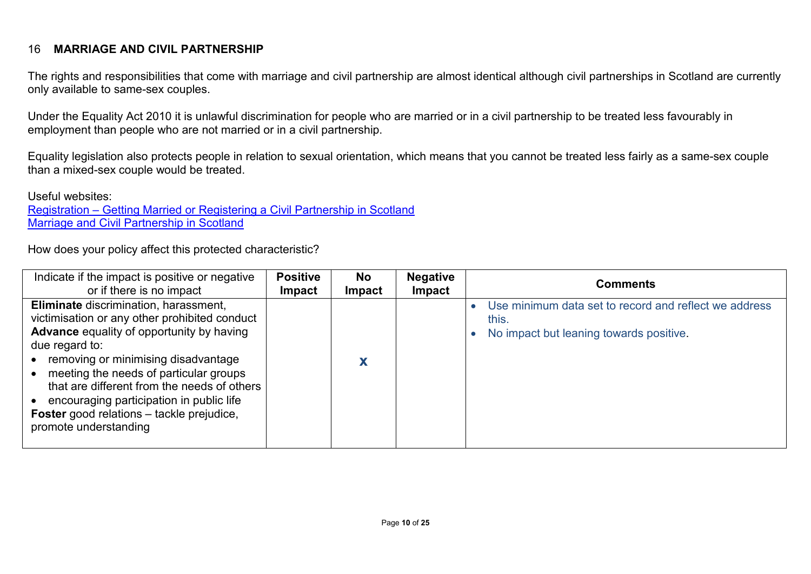#### 16 **MARRIAGE AND CIVIL PARTNERSHIP**

The rights and responsibilities that come with marriage and civil partnership are almost identical although civil partnerships in Scotland are currently only available to same-sex couples.

Under the Equality Act 2010 it is unlawful discrimination for people who are married or in a civil partnership to be treated less favourably in employment than people who are not married or in a civil partnership.

Equality legislation also protects people in relation to sexual orientation, which means that you cannot be treated less fairly as a same-sex couple than a mixed-sex couple would be treated.

Useful websites:

Registration – [Getting Married or Registering a Civil Partnership in Scotland](http://www.gro-scotland.gov.uk/registration) [Marriage and Civil Partnership in Scotland](http://www.equality-network.org/wp-content/uploads/2014/12/emguide_final1elores.pdfhttp:/www.equality-network.org/wp-content/uploads/2014/12/emguide_final1elores.pdf)

| Indicate if the impact is positive or negative                                                                                                                                                                                                                                                                                                                                                              | <b>Positive</b> | <b>No</b> | <b>Negative</b> | <b>Comments</b>                                                                                           |
|-------------------------------------------------------------------------------------------------------------------------------------------------------------------------------------------------------------------------------------------------------------------------------------------------------------------------------------------------------------------------------------------------------------|-----------------|-----------|-----------------|-----------------------------------------------------------------------------------------------------------|
| or if there is no impact                                                                                                                                                                                                                                                                                                                                                                                    | <b>Impact</b>   | Impact    | Impact          |                                                                                                           |
| Eliminate discrimination, harassment,<br>victimisation or any other prohibited conduct<br>Advance equality of opportunity by having<br>due regard to:<br>• removing or minimising disadvantage<br>meeting the needs of particular groups<br>that are different from the needs of others<br>• encouraging participation in public life<br>Foster good relations - tackle prejudice,<br>promote understanding |                 |           |                 | Use minimum data set to record and reflect we address<br>this.<br>No impact but leaning towards positive. |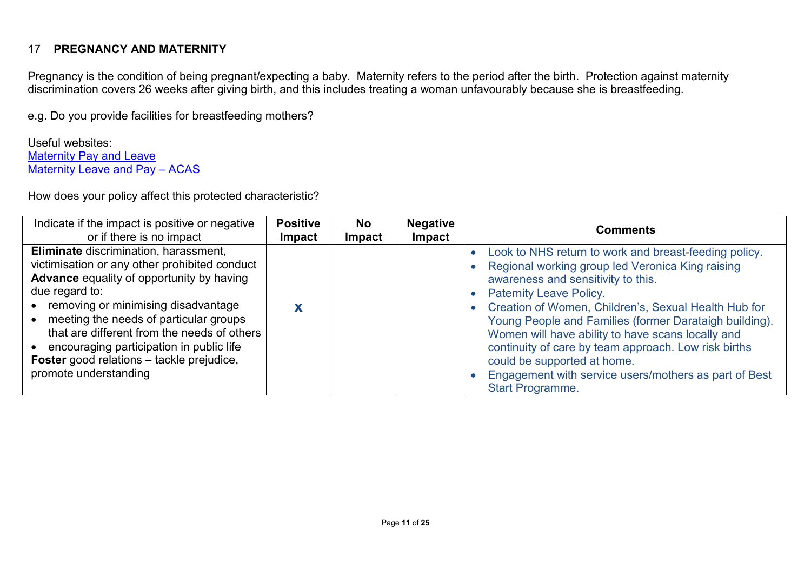#### 17 **PREGNANCY AND MATERNITY**

Pregnancy is the condition of being pregnant/expecting a baby. Maternity refers to the period after the birth. Protection against maternity discrimination covers 26 weeks after giving birth, and this includes treating a woman unfavourably because she is breastfeeding.

e.g. Do you provide facilities for breastfeeding mothers?

Useful websites: [Maternity Pay and Leave](https://www.gov.uk/maternity-pay-leave) [Maternity Leave and Pay –](http://www.acas.org.uk/index.aspx?articleid=1753) ACAS

| Indicate if the impact is positive or negative                                                                                                                                                                                                                                                                                                                                                                       | <b>Positive</b> | <b>No</b>     | <b>Negative</b> | <b>Comments</b>                                                                                                                                                                                                                                                                                                                                                                                                                                                                                                              |
|----------------------------------------------------------------------------------------------------------------------------------------------------------------------------------------------------------------------------------------------------------------------------------------------------------------------------------------------------------------------------------------------------------------------|-----------------|---------------|-----------------|------------------------------------------------------------------------------------------------------------------------------------------------------------------------------------------------------------------------------------------------------------------------------------------------------------------------------------------------------------------------------------------------------------------------------------------------------------------------------------------------------------------------------|
| or if there is no impact                                                                                                                                                                                                                                                                                                                                                                                             | <b>Impact</b>   | <b>Impact</b> | Impact          |                                                                                                                                                                                                                                                                                                                                                                                                                                                                                                                              |
| Eliminate discrimination, harassment,<br>victimisation or any other prohibited conduct<br><b>Advance</b> equality of opportunity by having<br>due regard to:<br>• removing or minimising disadvantage<br>• meeting the needs of particular groups<br>that are different from the needs of others<br>• encouraging participation in public life<br>Foster good relations - tackle prejudice,<br>promote understanding |                 |               |                 | Look to NHS return to work and breast-feeding policy.<br>Regional working group led Veronica King raising<br>awareness and sensitivity to this.<br><b>Paternity Leave Policy.</b><br>Creation of Women, Children's, Sexual Health Hub for<br>Young People and Families (former Darataigh building).<br>Women will have ability to have scans locally and<br>continuity of care by team approach. Low risk births<br>could be supported at home.<br>Engagement with service users/mothers as part of Best<br>Start Programme. |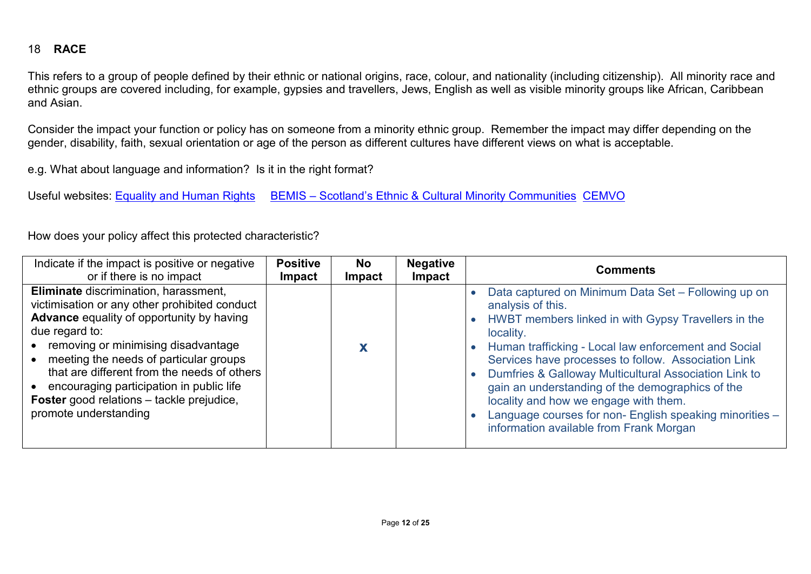#### 18 **RACE**

This refers to a group of people defined by their ethnic or national origins, race, colour, and nationality (including citizenship). All minority race and ethnic groups are covered including, for example, gypsies and travellers, Jews, English as well as visible minority groups like African, Caribbean and Asian.

Consider the impact your function or policy has on someone from a minority ethnic group. Remember the impact may differ depending on the gender, disability, faith, sexual orientation or age of the person as different cultures have different views on what is acceptable.

e.g. What about language and information? Is it in the right format?

Useful websites: [Equality and Human Rights](http://www.equalityhumanrights.com/) BEMIS – [Scotland's Ethnic & Cultural Minority Communities](http://bemis.org.uk/) [CEMVO](http://www.cemvoscotland.org.uk/?forwardOutdatedBrowser=1)

| Indicate if the impact is positive or negative                                                                                                                                                                                                                                                                                                                                                                              | <b>Positive</b> | <b>No</b>     | <b>Negative</b> | <b>Comments</b>                                                                                                                                                                                                                                                                                                                                                                                                                                                                                                         |
|-----------------------------------------------------------------------------------------------------------------------------------------------------------------------------------------------------------------------------------------------------------------------------------------------------------------------------------------------------------------------------------------------------------------------------|-----------------|---------------|-----------------|-------------------------------------------------------------------------------------------------------------------------------------------------------------------------------------------------------------------------------------------------------------------------------------------------------------------------------------------------------------------------------------------------------------------------------------------------------------------------------------------------------------------------|
| or if there is no impact                                                                                                                                                                                                                                                                                                                                                                                                    | <b>Impact</b>   | <b>Impact</b> | Impact          |                                                                                                                                                                                                                                                                                                                                                                                                                                                                                                                         |
| Eliminate discrimination, harassment,<br>victimisation or any other prohibited conduct<br><b>Advance</b> equality of opportunity by having<br>due regard to:<br>• removing or minimising disadvantage<br>• meeting the needs of particular groups<br>that are different from the needs of others<br>• encouraging participation in public life<br><b>Foster</b> good relations - tackle prejudice,<br>promote understanding |                 |               |                 | Data captured on Minimum Data Set - Following up on<br>analysis of this.<br>HWBT members linked in with Gypsy Travellers in the<br>locality.<br>Human trafficking - Local law enforcement and Social<br>Services have processes to follow. Association Link<br>Dumfries & Galloway Multicultural Association Link to<br>gain an understanding of the demographics of the<br>locality and how we engage with them.<br>Language courses for non- English speaking minorities -<br>information available from Frank Morgan |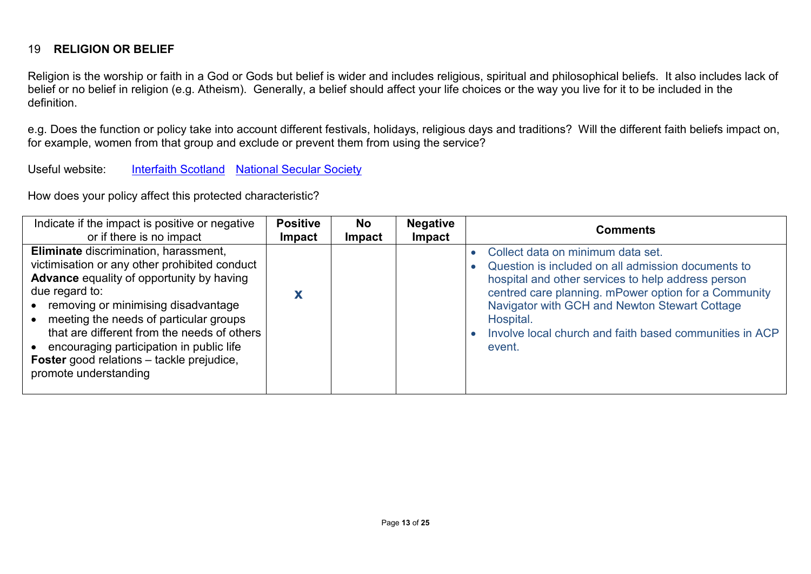#### 19 **RELIGION OR BELIEF**

Religion is the worship or faith in a God or Gods but belief is wider and includes religious, spiritual and philosophical beliefs. It also includes lack of belief or no belief in religion (e.g. Atheism). Generally, a belief should affect your life choices or the way you live for it to be included in the definition.

e.g. Does the function or policy take into account different festivals, holidays, religious days and traditions? Will the different faith beliefs impact on, for example, women from that group and exclude or prevent them from using the service?

Useful website: [Interfaith Scotland](http://www.interfaithscotland.org/) [National Secular Society](http://www.secularism.org.uk/)

| Indicate if the impact is positive or negative                                                                                                                                                                                                                                                                                                                                                                            | <b>Positive</b> | <b>No</b>     | <b>Negative</b> | <b>Comments</b>                                                                                                                                                                                                                                                                                                                          |
|---------------------------------------------------------------------------------------------------------------------------------------------------------------------------------------------------------------------------------------------------------------------------------------------------------------------------------------------------------------------------------------------------------------------------|-----------------|---------------|-----------------|------------------------------------------------------------------------------------------------------------------------------------------------------------------------------------------------------------------------------------------------------------------------------------------------------------------------------------------|
| or if there is no impact                                                                                                                                                                                                                                                                                                                                                                                                  | <b>Impact</b>   | <b>Impact</b> | <b>Impact</b>   |                                                                                                                                                                                                                                                                                                                                          |
| Eliminate discrimination, harassment,<br>victimisation or any other prohibited conduct<br><b>Advance</b> equality of opportunity by having<br>due regard to:<br>• removing or minimising disadvantage<br>meeting the needs of particular groups<br>that are different from the needs of others<br>• encouraging participation in public life<br><b>Foster</b> good relations - tackle prejudice,<br>promote understanding |                 |               |                 | Collect data on minimum data set.<br>Question is included on all admission documents to<br>hospital and other services to help address person<br>centred care planning. mPower option for a Community<br>Navigator with GCH and Newton Stewart Cottage<br>Hospital.<br>Involve local church and faith based communities in ACP<br>event. |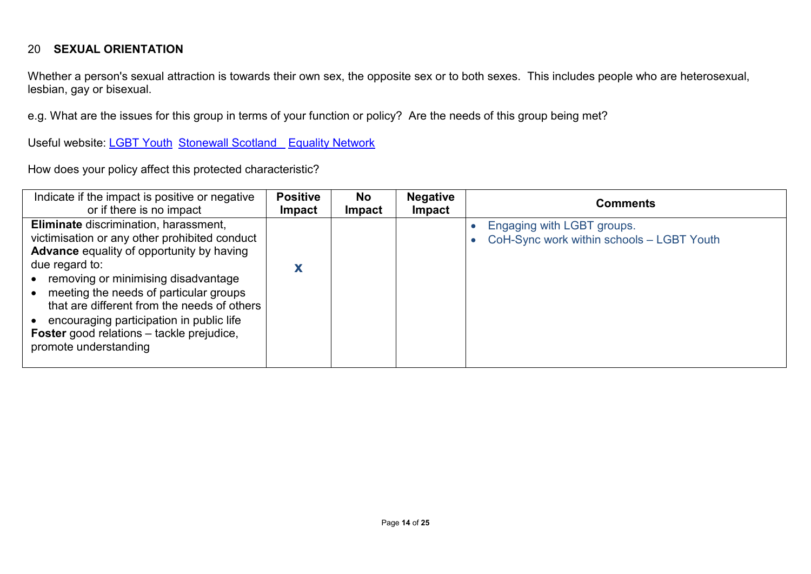#### 20 **SEXUAL ORIENTATION**

Whether a person's sexual attraction is towards their own sex, the opposite sex or to both sexes. This includes people who are heterosexual, lesbian, gay or bisexual.

e.g. What are the issues for this group in terms of your function or policy? Are the needs of this group being met?

Useful website: [LGBT Youth](https://www.lgbtyouth.org.uk/) [Stonewall Scotland](http://www.stonewallscotland.org.uk/) [Equality Network](http://www.equality-network.org/)

| Indicate if the impact is positive or negative                                                                                                                                                                                                                                                                                                                                                                        | <b>Positive</b> | <b>No</b>     | <b>Negative</b> | <b>Comments</b>                                                         |
|-----------------------------------------------------------------------------------------------------------------------------------------------------------------------------------------------------------------------------------------------------------------------------------------------------------------------------------------------------------------------------------------------------------------------|-----------------|---------------|-----------------|-------------------------------------------------------------------------|
| or if there is no impact                                                                                                                                                                                                                                                                                                                                                                                              | <b>Impact</b>   | <b>Impact</b> | <b>Impact</b>   |                                                                         |
| Eliminate discrimination, harassment,<br>victimisation or any other prohibited conduct<br><b>Advance</b> equality of opportunity by having<br>due regard to:<br>removing or minimising disadvantage<br>meeting the needs of particular groups<br>that are different from the needs of others<br>encouraging participation in public life<br><b>Foster</b> good relations – tackle prejudice,<br>promote understanding | X               |               |                 | Engaging with LGBT groups.<br>CoH-Sync work within schools - LGBT Youth |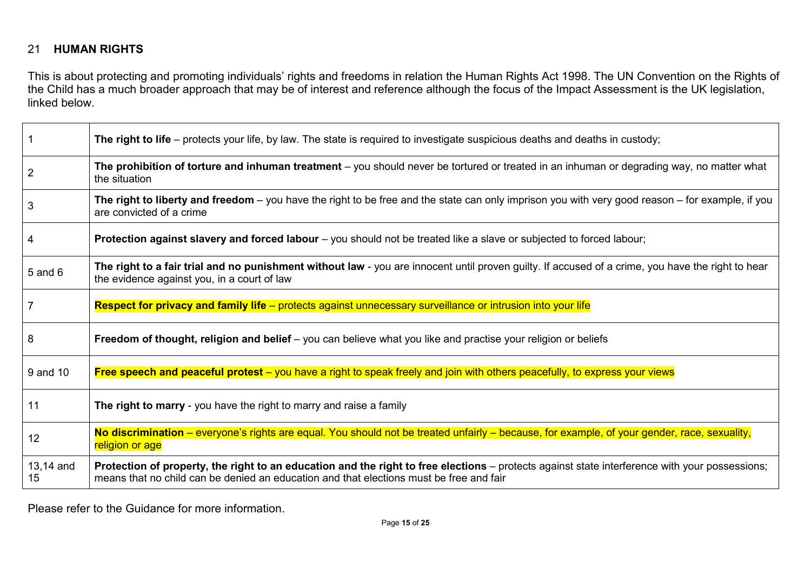#### 21 **HUMAN RIGHTS**

This is about protecting and promoting individuals' rights and freedoms in relation the Human Rights Act 1998. The UN Convention on the Rights of the Child has a much broader approach that may be of interest and reference although the focus of the Impact Assessment is the UK legislation, linked below.

|                 | The right to life – protects your life, by law. The state is required to investigate suspicious deaths and deaths in custody;                                                                                                             |
|-----------------|-------------------------------------------------------------------------------------------------------------------------------------------------------------------------------------------------------------------------------------------|
| $\overline{2}$  | The prohibition of torture and inhuman treatment – you should never be tortured or treated in an inhuman or degrading way, no matter what<br>the situation                                                                                |
| 3               | The right to liberty and freedom – you have the right to be free and the state can only imprison you with very good reason – for example, if you<br>are convicted of a crime                                                              |
| 4               | Protection against slavery and forced labour – you should not be treated like a slave or subjected to forced labour;                                                                                                                      |
| $5$ and $6$     | The right to a fair trial and no punishment without law - you are innocent until proven guilty. If accused of a crime, you have the right to hear<br>the evidence against you, in a court of law                                          |
|                 | Respect for privacy and family life - protects against unnecessary surveillance or intrusion into your life                                                                                                                               |
| 8               | Freedom of thought, religion and belief – you can believe what you like and practise your religion or beliefs                                                                                                                             |
| 9 and 10        | Free speech and peaceful protest – you have a right to speak freely and join with others peacefully, to express your views                                                                                                                |
| 11              | The right to marry - you have the right to marry and raise a family                                                                                                                                                                       |
| 12              | No discrimination – everyone's rights are equal. You should not be treated unfairly – because, for example, of your gender, race, sexuality,<br>religion or age                                                                           |
| 13,14 and<br>15 | Protection of property, the right to an education and the right to free elections - protects against state interference with your possessions;<br>means that no child can be denied an education and that elections must be free and fair |

Please refer to the Guidance for more information.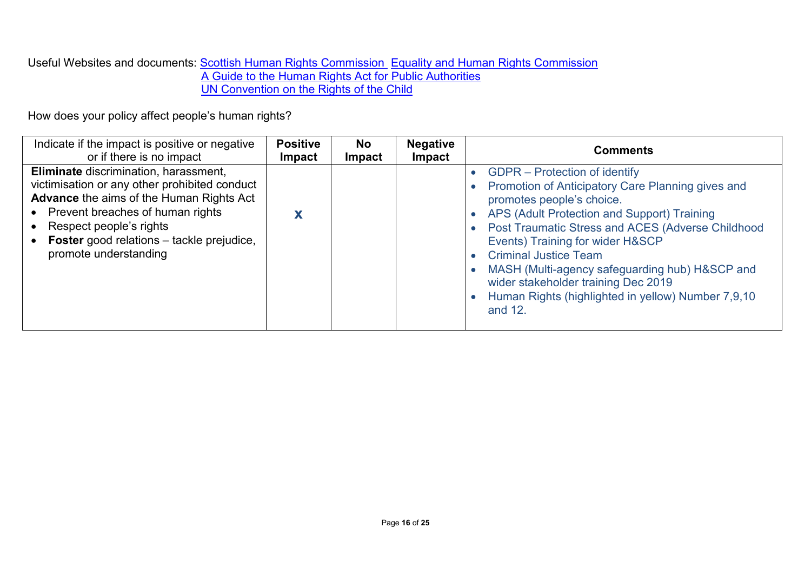Useful Websites and documents: <u>Scottish Human Rights Commission\_[Equality and Human Rights Commission](http://www.equalityhumanrights.com/)</u> [A Guide to the Human Rights Act for Public Authorities](http://www.equalityhumanrights.com/sites/default/files/publication_pdf/Human%20Rights%20Human%20Lives%20A%20Guide%20for%20Public%20Authorities.pdf) [UN Convention on the Rights of the Child](http://www.equalityhumanrights.com/sites/default/files/publication_pdf/Human%20Rights%20Human%20Lives%20A%20Guide%20for%20Public%20Authorities.pdf)

How does your policy affect people's human rights?

| Indicate if the impact is positive or negative                                                                                                                                                                                                                                 | <b>Positive</b> | <b>No</b>     | <b>Negative</b> | <b>Comments</b>                                                                                                                                                                                                                                                                                                                                                                                                                                   |  |  |  |
|--------------------------------------------------------------------------------------------------------------------------------------------------------------------------------------------------------------------------------------------------------------------------------|-----------------|---------------|-----------------|---------------------------------------------------------------------------------------------------------------------------------------------------------------------------------------------------------------------------------------------------------------------------------------------------------------------------------------------------------------------------------------------------------------------------------------------------|--|--|--|
| or if there is no impact                                                                                                                                                                                                                                                       | <b>Impact</b>   | <b>Impact</b> | Impact          |                                                                                                                                                                                                                                                                                                                                                                                                                                                   |  |  |  |
| Eliminate discrimination, harassment,<br>victimisation or any other prohibited conduct<br><b>Advance the aims of the Human Rights Act</b><br>Prevent breaches of human rights<br>Respect people's rights<br>Foster good relations - tackle prejudice,<br>promote understanding |                 |               |                 | GDPR – Protection of identify<br>Promotion of Anticipatory Care Planning gives and<br>promotes people's choice.<br>APS (Adult Protection and Support) Training<br>Post Traumatic Stress and ACES (Adverse Childhood<br>Events) Training for wider H&SCP<br><b>Criminal Justice Team</b><br>MASH (Multi-agency safeguarding hub) H&SCP and<br>wider stakeholder training Dec 2019<br>Human Rights (highlighted in yellow) Number 7,9,10<br>and 12. |  |  |  |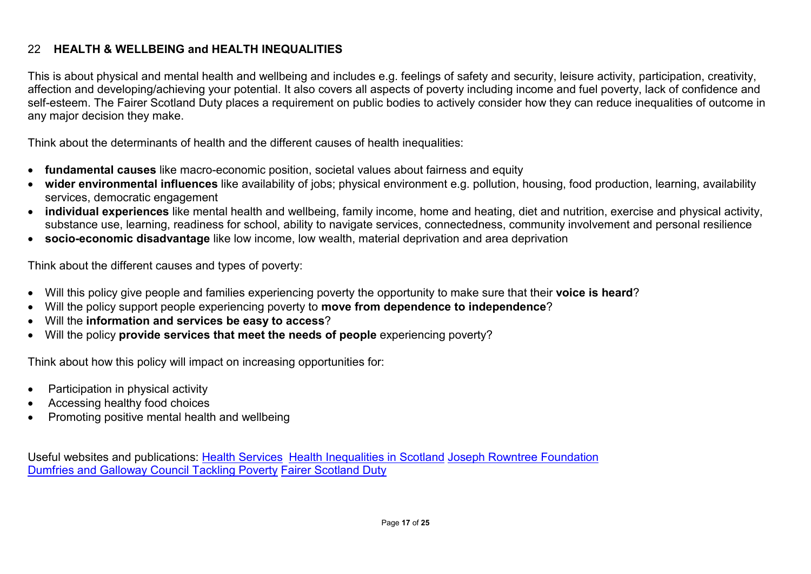#### 22 **HEALTH & WELLBEING and HEALTH INEQUALITIES**

This is about physical and mental health and wellbeing and includes e.g. feelings of safety and security, leisure activity, participation, creativity, affection and developing/achieving your potential. It also covers all aspects of poverty including income and fuel poverty, lack of confidence and self-esteem. The Fairer Scotland Duty places a requirement on public bodies to actively consider how they can reduce inequalities of outcome in any major decision they make.

Think about the determinants of health and the different causes of health inequalities:

- **fundamental causes** like macro-economic position, societal values about fairness and equity
- **wider environmental influences** like availability of jobs; physical environment e.g. pollution, housing, food production, learning, availability services, democratic engagement
- **individual experiences** like mental health and wellbeing, family income, home and heating, diet and nutrition, exercise and physical activity, substance use, learning, readiness for school, ability to navigate services, connectedness, community involvement and personal resilience
- **socio-economic disadvantage** like low income, low wealth, material deprivation and area deprivation

Think about the different causes and types of poverty:

- Will this policy give people and families experiencing poverty the opportunity to make sure that their **voice is heard**?
- Will the policy support people experiencing poverty to **move from dependence to independence**?
- Will the **information and services be easy to access**?
- Will the policy **provide services that meet the needs of people** experiencing poverty?

Think about how this policy will impact on increasing opportunities for:

- Participation in physical activity
- Accessing healthy food choices
- Promoting positive mental health and wellbeing

Useful websites and publications: Health [Services](http://www.gov.scot/Topics/Health/Services) [Health Inequalities in Scotland](http://www.audit-scotland.gov.uk/docs/health/2012/nr_121213_health_inequalities.pdf) [Joseph Rowntree Foundation](https://www.jrf.org.uk/) [Dumfries and Galloway Council Tackling Poverty](http://dumgal.gov.uk/index.aspx?articleid=14236) [Fairer Scotland Duty](https://www.gov.scot/Publications/2018/03/6918)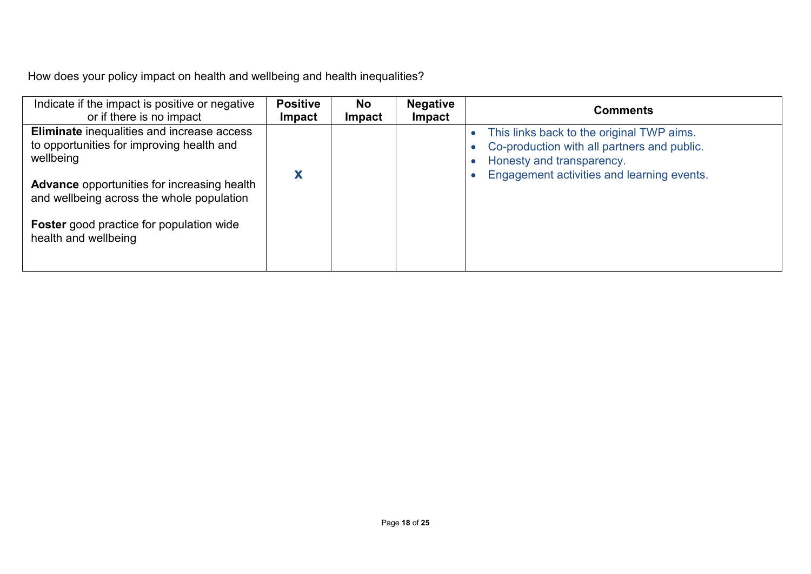How does your policy impact on health and wellbeing and health inequalities?

| Indicate if the impact is positive or negative                                                                                                                                                                                                                                     | <b>Positive</b> | <b>No</b>     | <b>Negative</b> | <b>Comments</b>                                                                                                                                                     |
|------------------------------------------------------------------------------------------------------------------------------------------------------------------------------------------------------------------------------------------------------------------------------------|-----------------|---------------|-----------------|---------------------------------------------------------------------------------------------------------------------------------------------------------------------|
| or if there is no impact                                                                                                                                                                                                                                                           | <b>Impact</b>   | <b>Impact</b> | Impact          |                                                                                                                                                                     |
| Eliminate inequalities and increase access<br>to opportunities for improving health and<br>wellbeing<br><b>Advance</b> opportunities for increasing health<br>and wellbeing across the whole population<br><b>Foster</b> good practice for population wide<br>health and wellbeing | Х               |               |                 | This links back to the original TWP aims.<br>Co-production with all partners and public.<br>Honesty and transparency.<br>Engagement activities and learning events. |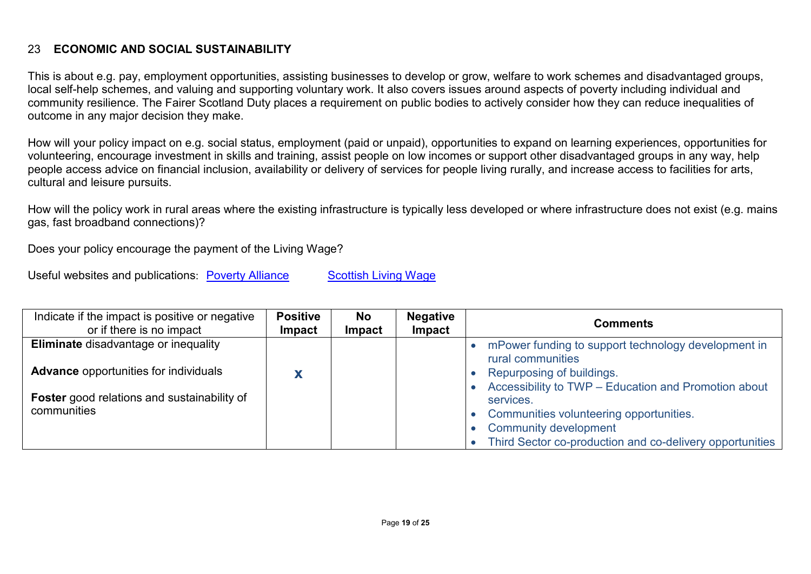#### 23 **ECONOMIC AND SOCIAL SUSTAINABILITY**

This is about e.g. pay, employment opportunities, assisting businesses to develop or grow, welfare to work schemes and disadvantaged groups, local self-help schemes, and valuing and supporting voluntary work. It also covers issues around aspects of poverty including individual and community resilience. The Fairer Scotland Duty places a requirement on public bodies to actively consider how they can reduce inequalities of outcome in any major decision they make.

How will your policy impact on e.g. social status, employment (paid or unpaid), opportunities to expand on learning experiences, opportunities for volunteering, encourage investment in skills and training, assist people on low incomes or support other disadvantaged groups in any way, help people access advice on financial inclusion, availability or delivery of services for people living rurally, and increase access to facilities for arts, cultural and leisure pursuits.

How will the policy work in rural areas where the existing infrastructure is typically less developed or where infrastructure does not exist (e.g. mains gas, fast broadband connections)?

Does your policy encourage the payment of the Living Wage?

Useful websites and publications: **[Poverty Alliance](http://www.povertyalliance.org/)** [Scottish Living Wage](http://slw.povertyalliance.org/)

| Indicate if the impact is positive or negative<br>or if there is no impact                  | <b>Positive</b><br><b>Impact</b> | <b>No</b><br><b>Impact</b> | <b>Negative</b><br>Impact | <b>Comments</b>                                                                                                                                                                                          |  |  |  |
|---------------------------------------------------------------------------------------------|----------------------------------|----------------------------|---------------------------|----------------------------------------------------------------------------------------------------------------------------------------------------------------------------------------------------------|--|--|--|
| <b>Eliminate disadvantage or inequality</b><br><b>Advance opportunities for individuals</b> |                                  |                            |                           | mPower funding to support technology development in<br>rural communities<br>Repurposing of buildings.                                                                                                    |  |  |  |
| <b>Foster</b> good relations and sustainability of<br>communities                           |                                  |                            |                           | Accessibility to TWP - Education and Promotion about<br>services.<br>Communities volunteering opportunities.<br><b>Community development</b><br>Third Sector co-production and co-delivery opportunities |  |  |  |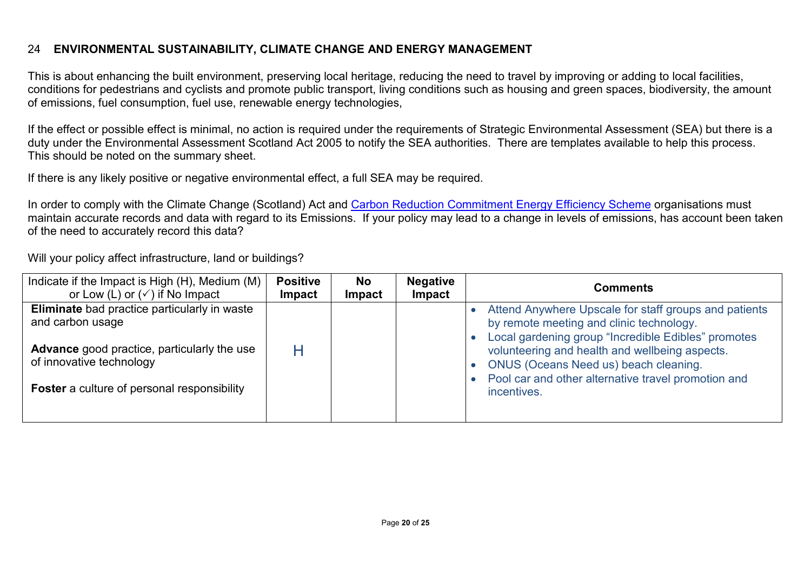#### 24 **ENVIRONMENTAL SUSTAINABILITY, CLIMATE CHANGE AND ENERGY MANAGEMENT**

This is about enhancing the built environment, preserving local heritage, reducing the need to travel by improving or adding to local facilities, conditions for pedestrians and cyclists and promote public transport, living conditions such as housing and green spaces, biodiversity, the amount of emissions, fuel consumption, fuel use, renewable energy technologies,

If the effect or possible effect is minimal, no action is required under the requirements of Strategic Environmental Assessment (SEA) but there is a duty under the Environmental Assessment Scotland Act 2005 to notify the SEA authorities. There are templates available to help this process. This should be noted on the summary sheet.

If there is any likely positive or negative environmental effect, a full SEA may be required.

In order to comply with the Climate Change (Scotland) Act and Carbon Reduction Commitment Energy Efficiency Scheme organisations must maintain accurate records and data with regard to its Emissions. If your policy may lead to a change in levels of emissions, has account been taken of the need to accurately record this data?

Will your policy affect infrastructure, land or buildings?

| Indicate if the Impact is High (H), Medium (M)                                                                                                                                                           | <b>Positive</b> | <b>No</b>     | <b>Negative</b> | <b>Comments</b>                                                                                                                                                                                                                                                                                                           |  |  |  |
|----------------------------------------------------------------------------------------------------------------------------------------------------------------------------------------------------------|-----------------|---------------|-----------------|---------------------------------------------------------------------------------------------------------------------------------------------------------------------------------------------------------------------------------------------------------------------------------------------------------------------------|--|--|--|
| or Low (L) or $(\checkmark)$ if No Impact                                                                                                                                                                | <b>Impact</b>   | <b>Impact</b> | Impact          |                                                                                                                                                                                                                                                                                                                           |  |  |  |
| <b>Eliminate</b> bad practice particularly in waste<br>and carbon usage<br><b>Advance</b> good practice, particularly the use<br>of innovative technology<br>Foster a culture of personal responsibility |                 |               |                 | Attend Anywhere Upscale for staff groups and patients<br>by remote meeting and clinic technology.<br>Local gardening group "Incredible Edibles" promotes<br>volunteering and health and wellbeing aspects.<br>ONUS (Oceans Need us) beach cleaning.<br>Pool car and other alternative travel promotion and<br>incentives. |  |  |  |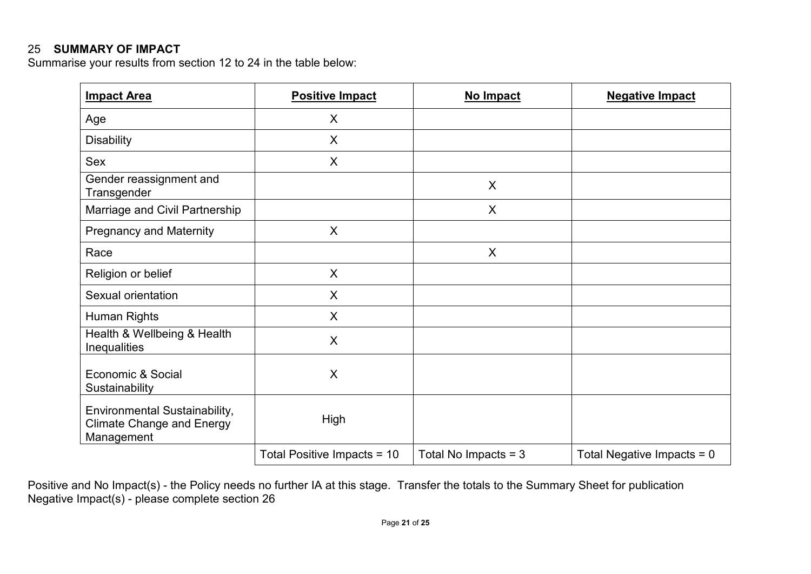#### 25 **SUMMARY OF IMPACT**

Summarise your results from section 12 to 24 in the table below:

| <b>Impact Area</b>                                                              | <b>Positive Impact</b>      | No Impact              | <b>Negative Impact</b>       |
|---------------------------------------------------------------------------------|-----------------------------|------------------------|------------------------------|
| Age                                                                             | X                           |                        |                              |
| <b>Disability</b>                                                               | $\sf X$                     |                        |                              |
| Sex                                                                             | X                           |                        |                              |
| Gender reassignment and<br>Transgender                                          |                             | $\sf X$                |                              |
| Marriage and Civil Partnership                                                  |                             | X                      |                              |
| <b>Pregnancy and Maternity</b>                                                  | $\sf X$                     |                        |                              |
| Race                                                                            |                             | X                      |                              |
| Religion or belief                                                              | $\sf X$                     |                        |                              |
| Sexual orientation                                                              | X                           |                        |                              |
| Human Rights                                                                    | $\sf X$                     |                        |                              |
| Health & Wellbeing & Health<br>Inequalities                                     | $\sf X$                     |                        |                              |
| Economic & Social<br>Sustainability                                             | X                           |                        |                              |
| Environmental Sustainability,<br><b>Climate Change and Energy</b><br>Management | High                        |                        |                              |
|                                                                                 | Total Positive Impacts = 10 | Total No Impacts = $3$ | Total Negative Impacts = $0$ |

Positive and No Impact(s) - the Policy needs no further IA at this stage. Transfer the totals to the Summary Sheet for publication Negative Impact(s) - please complete section 26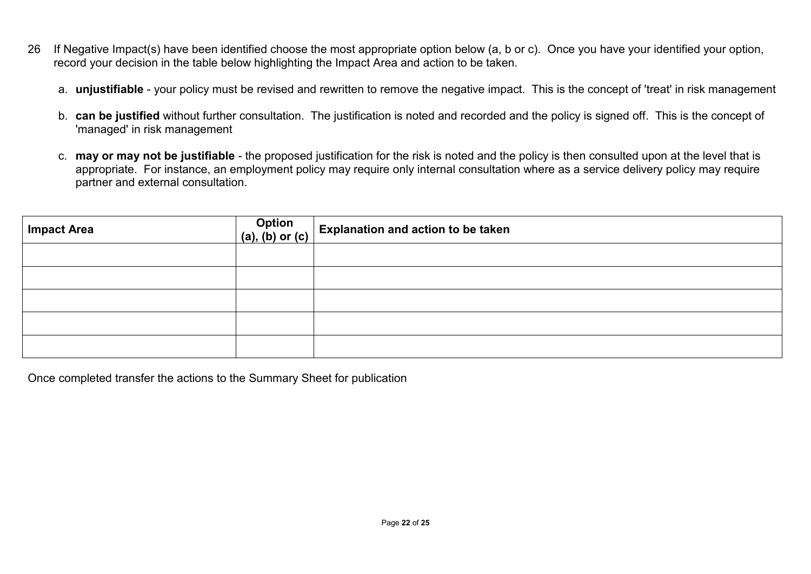- 26 If Negative Impact(s) have been identified choose the most appropriate option below (a, b or c). Once you have your identified your option, record your decision in the table below highlighting the Impact Area and action to be taken.
	- a. **unjustifiable** your policy must be revised and rewritten to remove the negative impact. This is the concept of 'treat' in risk management
	- b. **can be justified** without further consultation. The justification is noted and recorded and the policy is signed off. This is the concept of 'managed' in risk management
	- c. **may or may not be justifiable** the proposed justification for the risk is noted and the policy is then consulted upon at the level that is appropriate. For instance, an employment policy may require only internal consultation where as a service delivery policy may require partner and external consultation.

| <b>Impact Area</b> | Option $\Bigg($ (a), (b) or (c) Explanation and action to be taken |
|--------------------|--------------------------------------------------------------------|
|                    |                                                                    |
|                    |                                                                    |
|                    |                                                                    |
|                    |                                                                    |
|                    |                                                                    |

Once completed transfer the actions to the Summary Sheet for publication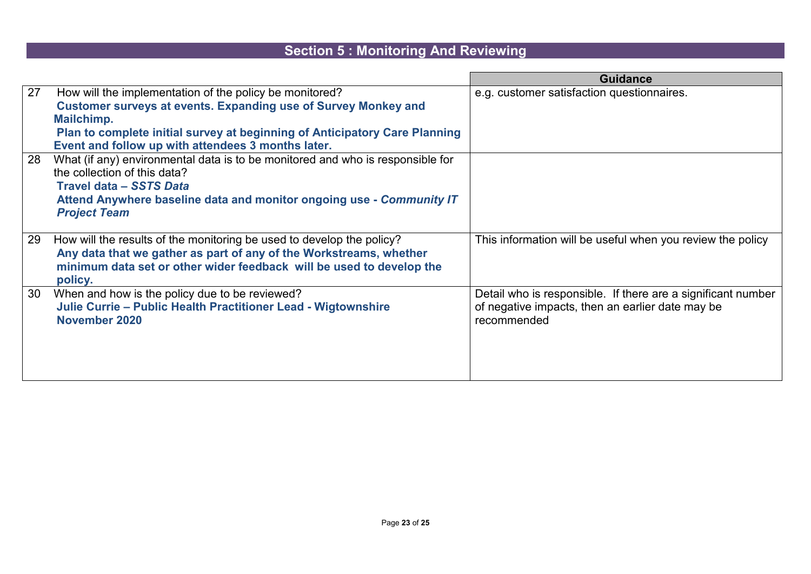## **Section 5 : Monitoring And Reviewing**

|    |                                                                                                                                                                                                                                                                                    | <b>Guidance</b>                                                                                                                 |
|----|------------------------------------------------------------------------------------------------------------------------------------------------------------------------------------------------------------------------------------------------------------------------------------|---------------------------------------------------------------------------------------------------------------------------------|
| 27 | How will the implementation of the policy be monitored?<br><b>Customer surveys at events. Expanding use of Survey Monkey and</b><br>Mailchimp.<br>Plan to complete initial survey at beginning of Anticipatory Care Planning<br>Event and follow up with attendees 3 months later. | e.g. customer satisfaction questionnaires.                                                                                      |
| 28 | What (if any) environmental data is to be monitored and who is responsible for<br>the collection of this data?<br>Travel data - SSTS Data<br>Attend Anywhere baseline data and monitor ongoing use - Community IT<br><b>Project Team</b>                                           |                                                                                                                                 |
| 29 | How will the results of the monitoring be used to develop the policy?<br>Any data that we gather as part of any of the Workstreams, whether<br>minimum data set or other wider feedback will be used to develop the<br>policy.                                                     | This information will be useful when you review the policy                                                                      |
| 30 | When and how is the policy due to be reviewed?<br>Julie Currie - Public Health Practitioner Lead - Wigtownshire<br>November 2020                                                                                                                                                   | Detail who is responsible. If there are a significant number<br>of negative impacts, then an earlier date may be<br>recommended |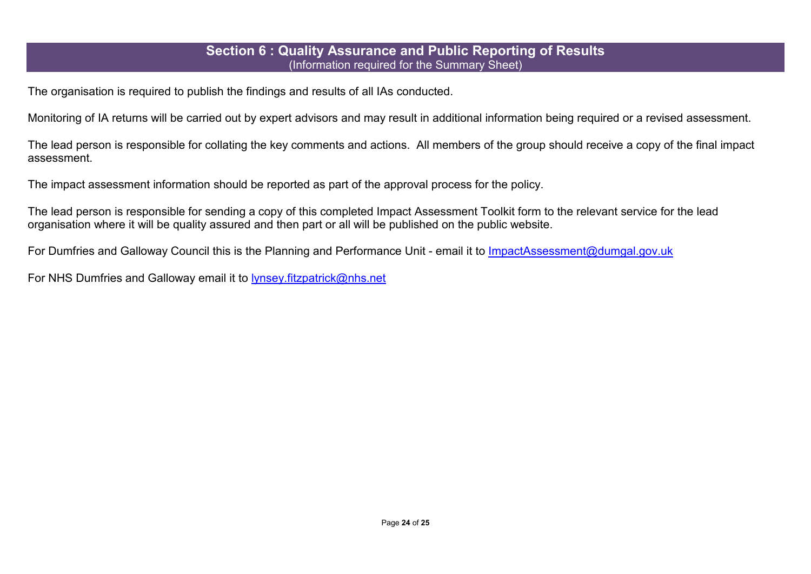#### **Section 6 : Quality Assurance and Public Reporting of Results**  (Information required for the Summary Sheet)

The organisation is required to publish the findings and results of all IAs conducted.

Monitoring of IA returns will be carried out by expert advisors and may result in additional information being required or a revised assessment.

The lead person is responsible for collating the key comments and actions. All members of the group should receive a copy of the final impact assessment.

The impact assessment information should be reported as part of the approval process for the policy.

The lead person is responsible for sending a copy of this completed Impact Assessment Toolkit form to the relevant service for the lead organisation where it will be quality assured and then part or all will be published on the public website.

For Dumfries and Galloway Council this is the Planning and Performance Unit - email it to [ImpactAssessment@dumgal.gov.uk](mailto:ImpactAssessment@dumgal.gov.uk)

For NHS Dumfries and Galloway email it to [lynsey.fitzpatrick@nhs.net](mailto:lynsey.fitzpatrick@nhs.net)